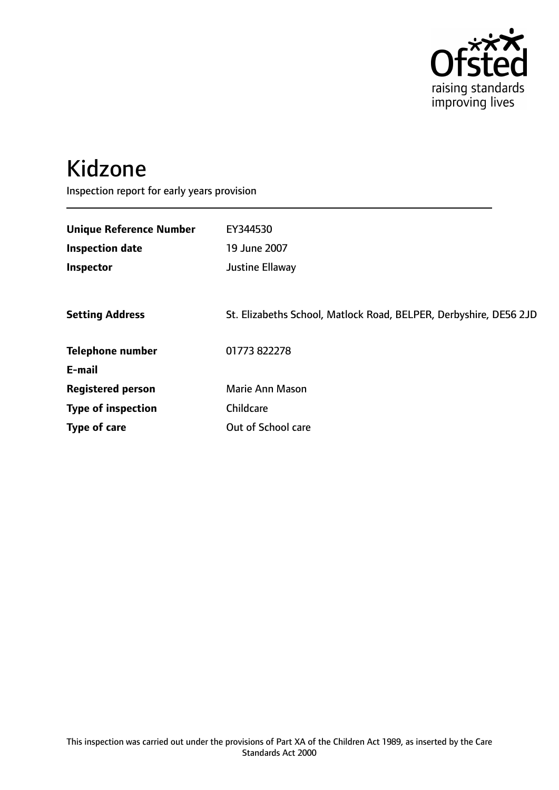

# Kidzone

Inspection report for early years provision

| <b>Unique Reference Number</b> | EY344530                                                          |
|--------------------------------|-------------------------------------------------------------------|
| <b>Inspection date</b>         | 19 June 2007                                                      |
| Inspector                      | Justine Ellaway                                                   |
|                                |                                                                   |
| <b>Setting Address</b>         | St. Elizabeths School, Matlock Road, BELPER, Derbyshire, DE56 2JD |
| <b>Telephone number</b>        | 01773 822278                                                      |
| E-mail                         |                                                                   |
| <b>Registered person</b>       | Marie Ann Mason                                                   |
| <b>Type of inspection</b>      | Childcare                                                         |
| Type of care                   | Out of School care                                                |
|                                |                                                                   |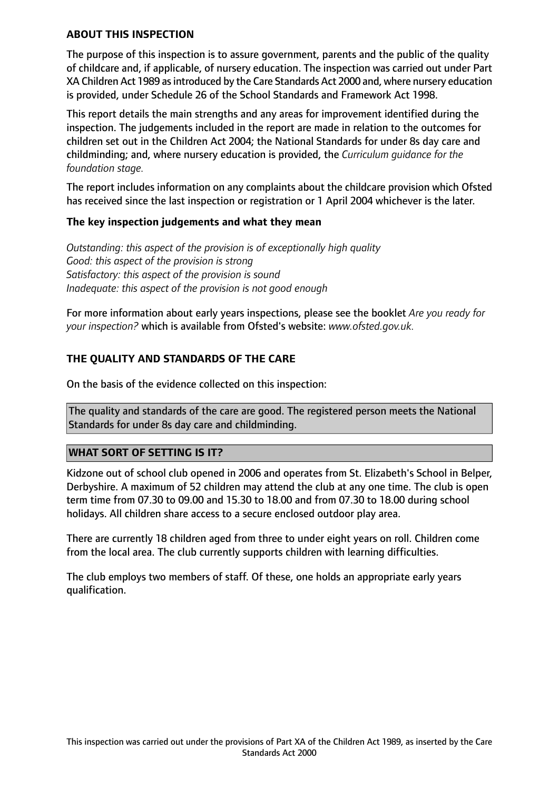## **ABOUT THIS INSPECTION**

The purpose of this inspection is to assure government, parents and the public of the quality of childcare and, if applicable, of nursery education. The inspection was carried out under Part XA Children Act 1989 as introduced by the Care Standards Act 2000 and, where nursery education is provided, under Schedule 26 of the School Standards and Framework Act 1998.

This report details the main strengths and any areas for improvement identified during the inspection. The judgements included in the report are made in relation to the outcomes for children set out in the Children Act 2004; the National Standards for under 8s day care and childminding; and, where nursery education is provided, the *Curriculum guidance for the foundation stage.*

The report includes information on any complaints about the childcare provision which Ofsted has received since the last inspection or registration or 1 April 2004 whichever is the later.

## **The key inspection judgements and what they mean**

*Outstanding: this aspect of the provision is of exceptionally high quality Good: this aspect of the provision is strong Satisfactory: this aspect of the provision is sound Inadequate: this aspect of the provision is not good enough*

For more information about early years inspections, please see the booklet *Are you ready for your inspection?* which is available from Ofsted's website: *www.ofsted.gov.uk.*

## **THE QUALITY AND STANDARDS OF THE CARE**

On the basis of the evidence collected on this inspection:

The quality and standards of the care are good. The registered person meets the National Standards for under 8s day care and childminding.

## **WHAT SORT OF SETTING IS IT?**

Kidzone out of school club opened in 2006 and operates from St. Elizabeth's School in Belper, Derbyshire. A maximum of 52 children may attend the club at any one time. The club is open term time from 07.30 to 09.00 and 15.30 to 18.00 and from 07.30 to 18.00 during school holidays. All children share access to a secure enclosed outdoor play area.

There are currently 18 children aged from three to under eight years on roll. Children come from the local area. The club currently supports children with learning difficulties.

The club employs two members of staff. Of these, one holds an appropriate early years qualification.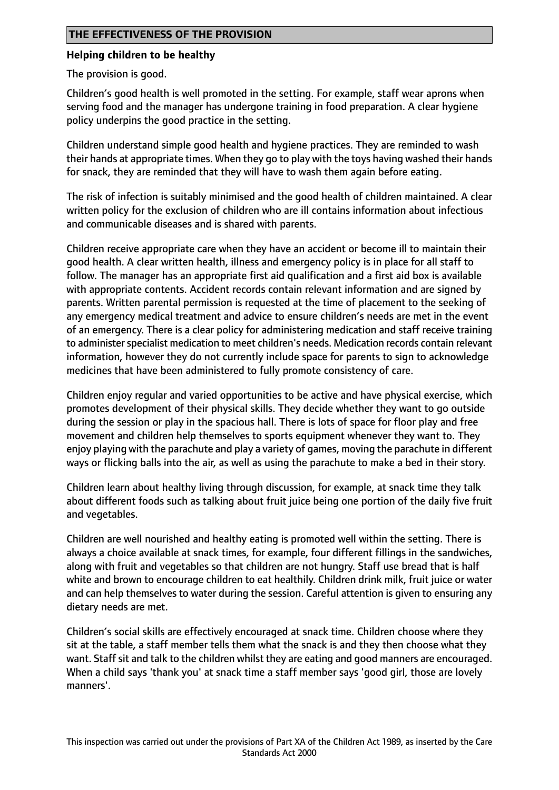## **THE EFFECTIVENESS OF THE PROVISION**

#### **Helping children to be healthy**

The provision is good.

Children's good health is well promoted in the setting. For example, staff wear aprons when serving food and the manager has undergone training in food preparation. A clear hygiene policy underpins the good practice in the setting.

Children understand simple good health and hygiene practices. They are reminded to wash their hands at appropriate times. When they go to play with the toys having washed their hands for snack, they are reminded that they will have to wash them again before eating.

The risk of infection is suitably minimised and the good health of children maintained. A clear written policy for the exclusion of children who are ill contains information about infectious and communicable diseases and is shared with parents.

Children receive appropriate care when they have an accident or become ill to maintain their good health. A clear written health, illness and emergency policy is in place for all staff to follow. The manager has an appropriate first aid qualification and a first aid box is available with appropriate contents. Accident records contain relevant information and are signed by parents. Written parental permission is requested at the time of placement to the seeking of any emergency medical treatment and advice to ensure children's needs are met in the event of an emergency. There is a clear policy for administering medication and staff receive training to administer specialist medication to meet children's needs. Medication records contain relevant information, however they do not currently include space for parents to sign to acknowledge medicines that have been administered to fully promote consistency of care.

Children enjoy regular and varied opportunities to be active and have physical exercise, which promotes development of their physical skills. They decide whether they want to go outside during the session or play in the spacious hall. There is lots of space for floor play and free movement and children help themselves to sports equipment whenever they want to. They enjoy playing with the parachute and play a variety of games, moving the parachute in different ways or flicking balls into the air, as well as using the parachute to make a bed in their story.

Children learn about healthy living through discussion, for example, at snack time they talk about different foods such as talking about fruit juice being one portion of the daily five fruit and vegetables.

Children are well nourished and healthy eating is promoted well within the setting. There is always a choice available at snack times, for example, four different fillings in the sandwiches, along with fruit and vegetables so that children are not hungry. Staff use bread that is half white and brown to encourage children to eat healthily. Children drink milk, fruit juice or water and can help themselves to water during the session. Careful attention is given to ensuring any dietary needs are met.

Children's social skills are effectively encouraged at snack time. Children choose where they sit at the table, a staff member tells them what the snack is and they then choose what they want. Staff sit and talk to the children whilst they are eating and good manners are encouraged. When a child says 'thank you' at snack time a staff member says 'good girl, those are lovely manners'.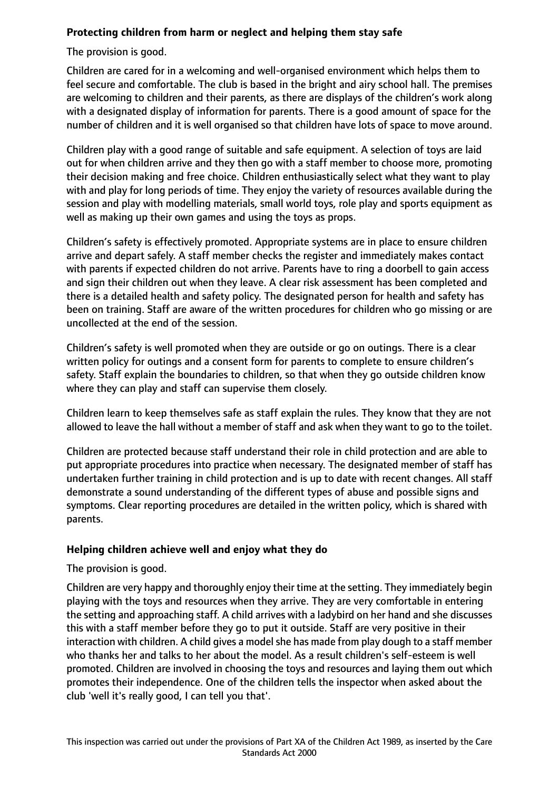## **Protecting children from harm or neglect and helping them stay safe**

The provision is good.

Children are cared for in a welcoming and well-organised environment which helps them to feel secure and comfortable. The club is based in the bright and airy school hall. The premises are welcoming to children and their parents, as there are displays of the children's work along with a designated display of information for parents. There is a good amount of space for the number of children and it is well organised so that children have lots of space to move around.

Children play with a good range of suitable and safe equipment. A selection of toys are laid out for when children arrive and they then go with a staff member to choose more, promoting their decision making and free choice. Children enthusiastically select what they want to play with and play for long periods of time. They enjoy the variety of resources available during the session and play with modelling materials, small world toys, role play and sports equipment as well as making up their own games and using the toys as props.

Children's safety is effectively promoted. Appropriate systems are in place to ensure children arrive and depart safely. A staff member checks the register and immediately makes contact with parents if expected children do not arrive. Parents have to ring a doorbell to gain access and sign their children out when they leave. A clear risk assessment has been completed and there is a detailed health and safety policy. The designated person for health and safety has been on training. Staff are aware of the written procedures for children who go missing or are uncollected at the end of the session.

Children's safety is well promoted when they are outside or go on outings. There is a clear written policy for outings and a consent form for parents to complete to ensure children's safety. Staff explain the boundaries to children, so that when they go outside children know where they can play and staff can supervise them closely.

Children learn to keep themselves safe as staff explain the rules. They know that they are not allowed to leave the hall without a member of staff and ask when they want to go to the toilet.

Children are protected because staff understand their role in child protection and are able to put appropriate procedures into practice when necessary. The designated member of staff has undertaken further training in child protection and is up to date with recent changes. All staff demonstrate a sound understanding of the different types of abuse and possible signs and symptoms. Clear reporting procedures are detailed in the written policy, which is shared with parents.

## **Helping children achieve well and enjoy what they do**

The provision is good.

Children are very happy and thoroughly enjoy their time at the setting. They immediately begin playing with the toys and resources when they arrive. They are very comfortable in entering the setting and approaching staff. A child arrives with a ladybird on her hand and she discusses this with a staff member before they go to put it outside. Staff are very positive in their interaction with children. A child gives a model she has made from play dough to a staff member who thanks her and talks to her about the model. As a result children's self-esteem is well promoted. Children are involved in choosing the toys and resources and laying them out which promotes their independence. One of the children tells the inspector when asked about the club 'well it's really good, I can tell you that'.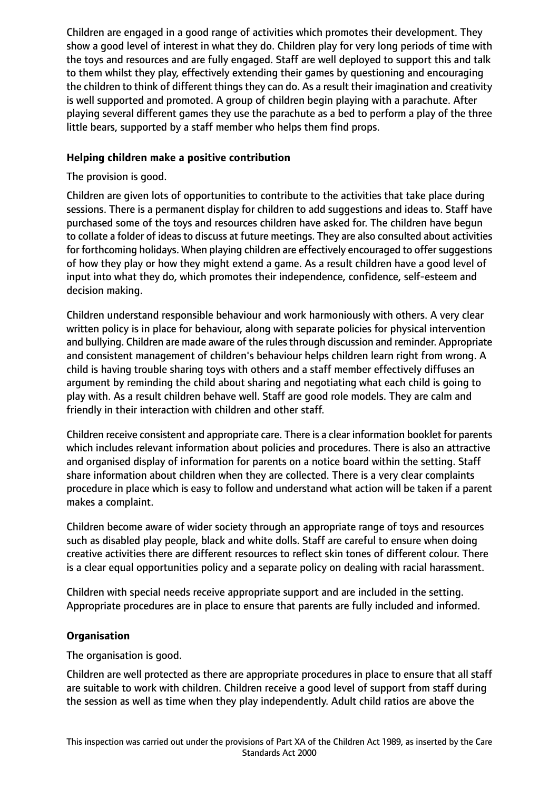Children are engaged in a good range of activities which promotes their development. They show a good level of interest in what they do. Children play for very long periods of time with the toys and resources and are fully engaged. Staff are well deployed to support this and talk to them whilst they play, effectively extending their games by questioning and encouraging the children to think of different things they can do. As a result their imagination and creativity is well supported and promoted. A group of children begin playing with a parachute. After playing several different games they use the parachute as a bed to perform a play of the three little bears, supported by a staff member who helps them find props.

## **Helping children make a positive contribution**

The provision is good.

Children are given lots of opportunities to contribute to the activities that take place during sessions. There is a permanent display for children to add suggestions and ideas to. Staff have purchased some of the toys and resources children have asked for. The children have begun to collate a folder of ideas to discuss at future meetings. They are also consulted about activities for forthcoming holidays. When playing children are effectively encouraged to offer suggestions of how they play or how they might extend a game. As a result children have a good level of input into what they do, which promotes their independence, confidence, self-esteem and decision making.

Children understand responsible behaviour and work harmoniously with others. A very clear written policy is in place for behaviour, along with separate policies for physical intervention and bullying. Children are made aware of the rules through discussion and reminder. Appropriate and consistent management of children's behaviour helps children learn right from wrong. A child is having trouble sharing toys with others and a staff member effectively diffuses an argument by reminding the child about sharing and negotiating what each child is going to play with. As a result children behave well. Staff are good role models. They are calm and friendly in their interaction with children and other staff.

Children receive consistent and appropriate care. There is a clear information booklet for parents which includes relevant information about policies and procedures. There is also an attractive and organised display of information for parents on a notice board within the setting. Staff share information about children when they are collected. There is a very clear complaints procedure in place which is easy to follow and understand what action will be taken if a parent makes a complaint.

Children become aware of wider society through an appropriate range of toys and resources such as disabled play people, black and white dolls. Staff are careful to ensure when doing creative activities there are different resources to reflect skin tones of different colour. There is a clear equal opportunities policy and a separate policy on dealing with racial harassment.

Children with special needs receive appropriate support and are included in the setting. Appropriate procedures are in place to ensure that parents are fully included and informed.

## **Organisation**

The organisation is good.

Children are well protected as there are appropriate procedures in place to ensure that all staff are suitable to work with children. Children receive a good level of support from staff during the session as well as time when they play independently. Adult child ratios are above the